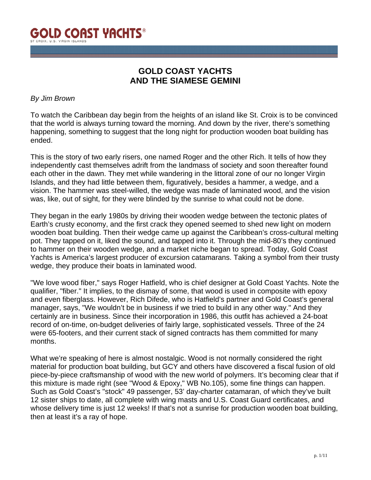

# **GOLD COAST YACHTS AND THE SIAMESE GEMINI**

### *By Jim Brown*

To watch the Caribbean day begin from the heights of an island like St. Croix is to be convinced that the world is always turning toward the morning. And down by the river, there's something happening, something to suggest that the long night for production wooden boat building has ended.

This is the story of two early risers, one named Roger and the other Rich. It tells of how they independently cast themselves adrift from the landmass of society and soon thereafter found each other in the dawn. They met while wandering in the littoral zone of our no longer Virgin Islands, and they had little between them, figuratively, besides a hammer, a wedge, and a vision. The hammer was steel-willed, the wedge was made of laminated wood, and the vision was, like, out of sight, for they were blinded by the sunrise to what could not be done.

They began in the early 1980s by driving their wooden wedge between the tectonic plates of Earth's crusty economy, and the first crack they opened seemed to shed new light on modern wooden boat building. Then their wedge came up against the Caribbean's cross-cultural melting pot. They tapped on it, liked the sound, and tapped into it. Through the mid-80's they continued to hammer on their wooden wedge, and a market niche began to spread. Today, Gold Coast Yachts is America's largest producer of excursion catamarans. Taking a symbol from their trusty wedge, they produce their boats in laminated wood.

"We love wood fiber," says Roger Hatfield, who is chief designer at Gold Coast Yachts. Note the qualifier, "fiber." It implies, to the dismay of some, that wood is used in composite with epoxy and even fiberglass. However, Rich Difede, who is Hatfield's partner and Gold Coast's general manager, says, "We wouldn't be in business if we tried to build in any other way." And they certainly are in business. Since their incorporation in 1986, this outfit has achieved a 24-boat record of on-time, on-budget deliveries of fairly large, sophisticated vessels. Three of the 24 were 65-footers, and their current stack of signed contracts has them committed for many months.

What we're speaking of here is almost nostalgic. Wood is not normally considered the right material for production boat building, but GCY and others have discovered a fiscal fusion of old piece-by-piece craftsmanship of wood with the new world of polymers. It's becoming clear that if this mixture is made right (see "Wood & Epoxy," WB No.105), some fine things can happen. Such as Gold Coast's "stock" 49 passenger, 53' day-charter catamaran, of which they've built 12 sister ships to date, all complete with wing masts and U.S. Coast Guard certificates, and whose delivery time is just 12 weeks! If that's not a sunrise for production wooden boat building, then at least it's a ray of hope.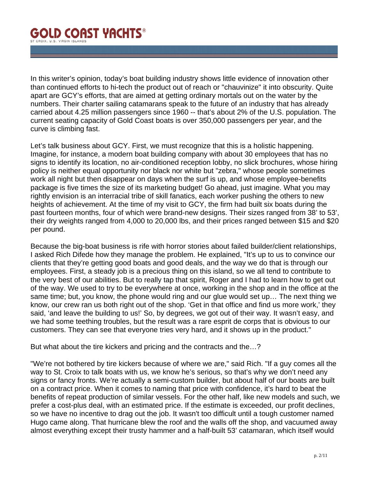In this writer's opinion, today's boat building industry shows little evidence of innovation other than continued efforts to hi-tech the product out of reach or "chauvinize" it into obscurity. Quite apart are GCY's efforts, that are aimed at getting ordinary mortals out on the water by the numbers. Their charter sailing catamarans speak to the future of an industry that has already carried about 4.25 million passengers since 1960 -- that's about 2% of the U.S. population. The current seating capacity of Gold Coast boats is over 350,000 passengers per year, and the curve is climbing fast.

Let's talk business about GCY. First, we must recognize that this is a holistic happening. Imagine, for instance, a modern boat building company with about 30 employees that has no signs to identify its location, no air-conditioned reception lobby, no slick brochures, whose hiring policy is neither equal opportunity nor black nor white but "zebra," whose people sometimes work all night but then disappear on days when the surf is up, and whose employee-benefits package is five times the size of its marketing budget! Go ahead, just imagine. What you may rightly envision is an interracial tribe of skill fanatics, each worker pushing the others to new heights of achievement. At the time of my visit to GCY, the firm had built six boats during the past fourteen months, four of which were brand-new designs. Their sizes ranged from 38' to 53', their dry weights ranged from 4,000 to 20,000 lbs, and their prices ranged between \$15 and \$20 per pound.

Because the big-boat business is rife with horror stories about failed builder/client relationships, I asked Rich Difede how they manage the problem. He explained, "It's up to us to convince our clients that they're getting good boats and good deals, and the way we do that is through our employees. First, a steady job is a precious thing on this island, so we all tend to contribute to the very best of our abilities. But to really tap that spirit, Roger and I had to learn how to get out of the way. We used to try to be everywhere at once, working in the shop and in the office at the same time; but, you know, the phone would ring and our glue would set up… The next thing we know, our crew ran us both right out of the shop. 'Get in that office and find us more work,' they said, 'and leave the building to us!' So, by degrees, we got out of their way. It wasn't easy, and we had some teething troubles, but the result was a rare esprit de corps that is obvious to our customers. They can see that everyone tries very hard, and it shows up in the product."

But what about the tire kickers and pricing and the contracts and the…?

"We're not bothered by tire kickers because of where we are," said Rich. "If a guy comes all the way to St. Croix to talk boats with us, we know he's serious, so that's why we don't need any signs or fancy fronts. We're actually a semi-custom builder, but about half of our boats are built on a contract price. When it comes to naming that price with confidence, it's hard to beat the benefits of repeat production of similar vessels. For the other half, like new models and such, we prefer a cost-plus deal, with an estimated price. If the estimate is exceeded, our profit declines, so we have no incentive to drag out the job. It wasn't too difficult until a tough customer named Hugo came along. That hurricane blew the roof and the walls off the shop, and vacuumed away almost everything except their trusty hammer and a half-built 53' catamaran, which itself would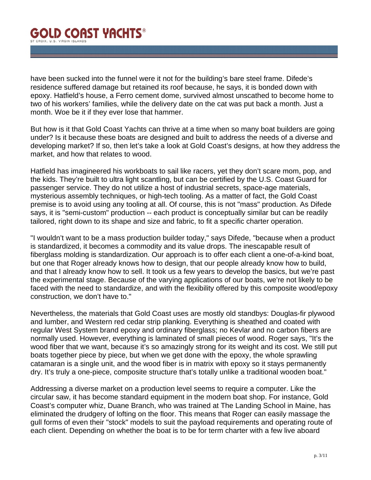have been sucked into the funnel were it not for the building's bare steel frame. Difede's residence suffered damage but retained its roof because, he says, it is bonded down with epoxy. Hatfield's house, a Ferro cement dome, survived almost unscathed to become home to two of his workers' families, while the delivery date on the cat was put back a month. Just a month. Woe be it if they ever lose that hammer.

But how is it that Gold Coast Yachts can thrive at a time when so many boat builders are going under? Is it because these boats are designed and built to address the needs of a diverse and developing market? If so, then let's take a look at Gold Coast's designs, at how they address the market, and how that relates to wood.

Hatfield has imagineered his workboats to sail like racers, yet they don't scare mom, pop, and the kids. They're built to ultra light scantling, but can be certified by the U.S. Coast Guard for passenger service. They do not utilize a host of industrial secrets, space-age materials, mysterious assembly techniques, or high-tech tooling. As a matter of fact, the Gold Coast premise is to avoid using any tooling at all. Of course, this is not "mass" production. As Difede says, it is "semi-custom" production -- each product is conceptually similar but can be readily tailored, right down to its shape and size and fabric, to fit a specific charter operation.

"I wouldn't want to be a mass production builder today," says Difede, "because when a product is standardized, it becomes a commodity and its value drops. The inescapable result of fiberglass molding is standardization. Our approach is to offer each client a one-of-a-kind boat, but one that Roger already knows how to design, that our people already know how to build, and that I already know how to sell. It took us a few years to develop the basics, but we're past the experimental stage. Because of the varying applications of our boats, we're not likely to be faced with the need to standardize, and with the flexibility offered by this composite wood/epoxy construction, we don't have to."

Nevertheless, the materials that Gold Coast uses are mostly old standbys: Douglas-fir plywood and lumber, and Western red cedar strip planking. Everything is sheathed and coated with regular West System brand epoxy and ordinary fiberglass; no Kevlar and no carbon fibers are normally used. However, everything is laminated of small pieces of wood. Roger says, "It's the wood fiber that we want, because it's so amazingly strong for its weight and its cost. We still put boats together piece by piece, but when we get done with the epoxy, the whole sprawling catamaran is a single unit, and the wood fiber is in matrix with epoxy so it stays permanently dry. It's truly a one-piece, composite structure that's totally unlike a traditional wooden boat."

Addressing a diverse market on a production level seems to require a computer. Like the circular saw, it has become standard equipment in the modern boat shop. For instance, Gold Coast's computer whiz, Duane Branch, who was trained at The Landing School in Maine, has eliminated the drudgery of lofting on the floor. This means that Roger can easily massage the gull forms of even their "stock" models to suit the payload requirements and operating route of each client. Depending on whether the boat is to be for term charter with a few live aboard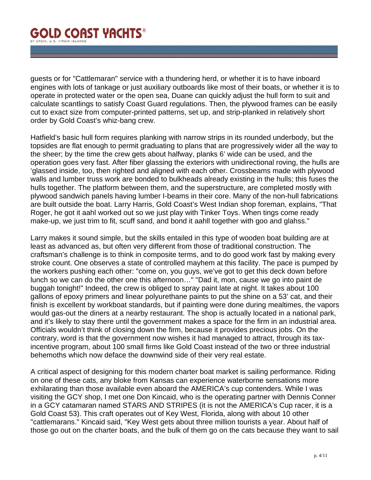guests or for "Cattlemaran" service with a thundering herd, or whether it is to have inboard engines with lots of tankage or just auxiliary outboards like most of their boats, or whether it is to operate in protected water or the open sea, Duane can quickly adjust the hull form to suit and calculate scantlings to satisfy Coast Guard regulations. Then, the plywood frames can be easily cut to exact size from computer-printed patterns, set up, and strip-planked in relatively short order by Gold Coast's whiz-bang crew.

Hatfield's basic hull form requires planking with narrow strips in its rounded underbody, but the topsides are flat enough to permit graduating to plans that are progressively wider all the way to the sheer; by the time the crew gets about halfway, planks 6' wide can be used, and the operation goes very fast. After fiber glassing the exteriors with unidirectional roving, the hulls are 'glassed inside, too, then righted and aligned with each other. Crossbeams made with plywood walls and lumber truss work are bonded to bulkheads already existing in the hulls; this fuses the hulls together. The platform between them, and the superstructure, are completed mostly with plywood sandwich panels having lumber I-beams in their core. Many of the non-hull fabrications are built outside the boat. Larry Harris, Gold Coast's West Indian shop foreman, explains, "That Roger, he got it aahl worked out so we just play with Tinker Toys. When tings come ready make-up, we just trim to fit, scuff sand, and bond it aahll together with goo and glahss."

Larry makes it sound simple, but the skills entailed in this type of wooden boat building are at least as advanced as, but often very different from those of traditional construction. The craftsman's challenge is to think in composite terms, and to do good work fast by making every stroke count. One observes a state of controlled mayhem at this facility. The pace is pumped by the workers pushing each other: "come on, you guys, we've got to get this deck down before lunch so we can do the other one this afternoon…" "Dad it, mon, cause we go into paint de buggah tonight!" Indeed, the crew is obliged to spray paint late at night. It takes about 100 gallons of epoxy primers and linear polyurethane paints to put the shine on a 53' cat, and their finish is excellent by workboat standards, but if painting were done during mealtimes, the vapors would gas-out the diners at a nearby restaurant. The shop is actually located in a national park, and it's likely to stay there until the government makes a space for the firm in an industrial area. Officials wouldn't think of closing down the firm, because it provides precious jobs. On the contrary, word is that the government now wishes it had managed to attract, through its taxincentive program, about 100 small firms like Gold Coast instead of the two or three industrial behemoths which now deface the downwind side of their very real estate.

A critical aspect of designing for this modern charter boat market is sailing performance. Riding on one of these cats, any bloke from Kansas can experience waterborne sensations more exhilarating than those available even aboard the AMERICA's cup contenders. While I was visiting the GCY shop, I met one Don Kincaid, who is the operating partner with Dennis Conner in a GCY catamaran named STARS AND STRIPES (it is not the AMERICA's Cup racer, it is a Gold Coast 53). This craft operates out of Key West, Florida, along with about 10 other "cattlemarans." Kincaid said, "Key West gets about three million tourists a year. About half of those go out on the charter boats, and the bulk of them go on the cats because they want to sail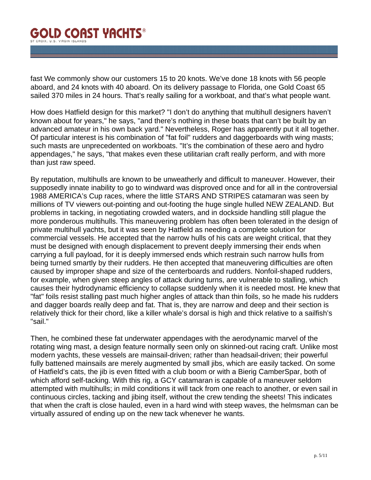fast We commonly show our customers 15 to 20 knots. We've done 18 knots with 56 people aboard, and 24 knots with 40 aboard. On its delivery passage to Florida, one Gold Coast 65 sailed 370 miles in 24 hours. That's really sailing for a workboat, and that's what people want.

How does Hatfield design for this market? "I don't do anything that multihull designers haven't known about for years," he says, "and there's nothing in these boats that can't be built by an advanced amateur in his own back yard." Nevertheless, Roger has apparently put it all together. Of particular interest is his combination of "fat foil" rudders and daggerboards with wing masts; such masts are unprecedented on workboats. "It's the combination of these aero and hydro appendages," he says, "that makes even these utilitarian craft really perform, and with more than just raw speed.

By reputation, multihulls are known to be unweatherly and difficult to maneuver. However, their supposedly innate inability to go to windward was disproved once and for all in the controversial 1988 AMERICA's Cup races, where the little STARS AND STRIPES catamaran was seen by millions of TV viewers out-pointing and out-footing the huge single hulled NEW ZEALAND. But problems in tacking, in negotiating crowded waters, and in dockside handling still plague the more ponderous multihulls. This maneuvering problem has often been tolerated in the design of private multihull yachts, but it was seen by Hatfield as needing a complete solution for commercial vessels. He accepted that the narrow hulls of his cats are weight critical, that they must be designed with enough displacement to prevent deeply immersing their ends when carrying a full payload, for it is deeply immersed ends which restrain such narrow hulls from being turned smartly by their rudders. He then accepted that maneuvering difficulties are often caused by improper shape and size of the centerboards and rudders. Nonfoil-shaped rudders, for example, when given steep angles of attack during turns, are vulnerable to stalling, which causes their hydrodynamic efficiency to collapse suddenly when it is needed most. He knew that "fat" foils resist stalling past much higher angles of attack than thin foils, so he made his rudders and dagger boards really deep and fat. That is, they are narrow and deep and their section is relatively thick for their chord, like a killer whale's dorsal is high and thick relative to a sailfish's "sail."

Then, he combined these fat underwater appendages with the aerodynamic marvel of the rotating wing mast, a design feature normally seen only on skinned-out racing craft. Unlike most modern yachts, these vessels are mainsail-driven; rather than headsail-driven; their powerful fully battened mainsails are merely augmented by small jibs, which are easily tacked. On some of Hatfield's cats, the jib is even fitted with a club boom or with a Bierig CamberSpar, both of which afford self-tacking. With this rig, a GCY catamaran is capable of a maneuver seldom attempted with multihulls; in mild conditions it will tack from one reach to another, or even sail in continuous circles, tacking and jibing itself, without the crew tending the sheets! This indicates that when the craft is close hauled, even in a hard wind with steep waves, the helmsman can be virtually assured of ending up on the new tack whenever he wants.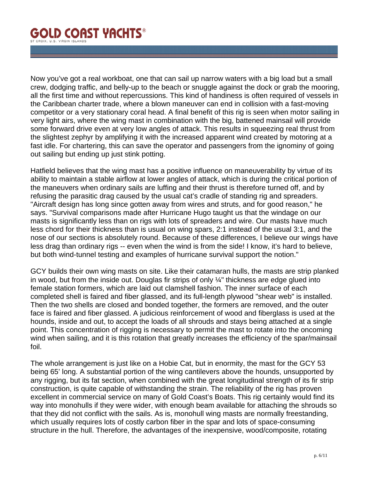Now you've got a real workboat, one that can sail up narrow waters with a big load but a small crew, dodging traffic, and belly-up to the beach or snuggle against the dock or grab the mooring, all the first time and without repercussions. This kind of handiness is often required of vessels in the Caribbean charter trade, where a blown maneuver can end in collision with a fast-moving competitor or a very stationary coral head. A final benefit of this rig is seen when motor sailing in very light airs, where the wing mast in combination with the big, battened mainsail will provide some forward drive even at very low angles of attack. This results in squeezing real thrust from the slightest zephyr by amplifying it with the increased apparent wind created by motoring at a fast idle. For chartering, this can save the operator and passengers from the ignominy of going out sailing but ending up just stink potting.

Hatfield believes that the wing mast has a positive influence on maneuverability by virtue of its ability to maintain a stable airflow at lower angles of attack, which is during the critical portion of the maneuvers when ordinary sails are luffing and their thrust is therefore turned off, and by refusing the parasitic drag caused by the usual cat's cradle of standing rig and spreaders. "Aircraft design has long since gotten away from wires and struts, and for good reason," he says. "Survival comparisons made after Hurricane Hugo taught us that the windage on our masts is significantly less than on rigs with lots of spreaders and wire. Our masts have much less chord for their thickness than is usual on wing spars, 2:1 instead of the usual 3:1, and the nose of our sections is absolutely round. Because of these differences, I believe our wings have less drag than ordinary rigs -- even when the wind is from the side! I know, it's hard to believe, but both wind-tunnel testing and examples of hurricane survival support the notion."

GCY builds their own wing masts on site. Like their catamaran hulls, the masts are strip planked in wood, but from the inside out. Douglas fir strips of only  $\frac{1}{4}$ " thickness are edge glued into female station formers, which are laid out clamshell fashion. The inner surface of each completed shell is faired and fiber glassed, and its full-length plywood "shear web" is installed. Then the two shells are closed and bonded together, the formers are removed, and the outer face is faired and fiber glassed. A judicious reinforcement of wood and fiberglass is used at the hounds, inside and out, to accept the loads of all shrouds and stays being attached at a single point. This concentration of rigging is necessary to permit the mast to rotate into the oncoming wind when sailing, and it is this rotation that greatly increases the efficiency of the spar/mainsail foil.

The whole arrangement is just like on a Hobie Cat, but in enormity, the mast for the GCY 53 being 65' long. A substantial portion of the wing cantilevers above the hounds, unsupported by any rigging, but its fat section, when combined with the great longitudinal strength of its fir strip construction, is quite capable of withstanding the strain. The reliability of the rig has proven excellent in commercial service on many of Gold Coast's Boats. This rig certainly would find its way into monohulls if they were wider, with enough beam available for attaching the shrouds so that they did not conflict with the sails. As is, monohull wing masts are normally freestanding, which usually requires lots of costly carbon fiber in the spar and lots of space-consuming structure in the hull. Therefore, the advantages of the inexpensive, wood/composite, rotating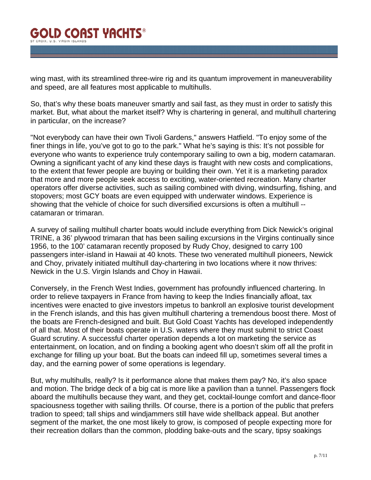wing mast, with its streamlined three-wire rig and its quantum improvement in maneuverability and speed, are all features most applicable to multihulls.

So, that's why these boats maneuver smartly and sail fast, as they must in order to satisfy this market. But, what about the market itself? Why is chartering in general, and multihull chartering in particular, on the increase?

"Not everybody can have their own Tivoli Gardens," answers Hatfield. "To enjoy some of the finer things in life, you've got to go to the park." What he's saying is this: It's not possible for everyone who wants to experience truly contemporary sailing to own a big, modern catamaran. Owning a significant yacht of any kind these days is fraught with new costs and complications, to the extent that fewer people are buying or building their own. Yet it is a marketing paradox that more and more people seek access to exciting, water-oriented recreation. Many charter operators offer diverse activities, such as sailing combined with diving, windsurfing, fishing, and stopovers; most GCY boats are even equipped with underwater windows. Experience is showing that the vehicle of choice for such diversified excursions is often a multihull - catamaran or trimaran.

A survey of sailing multihull charter boats would include everything from Dick Newick's original TRINE, a 36' plywood trimaran that has been sailing excursions in the Virgins continually since 1956, to the 100' catamaran recently proposed by Rudy Choy, designed to carry 100 passengers inter-island in Hawaii at 40 knots. These two venerated multihull pioneers, Newick and Choy, privately initiated multihull day-chartering in two locations where it now thrives: Newick in the U.S. Virgin Islands and Choy in Hawaii.

Conversely, in the French West Indies, government has profoundly influenced chartering. In order to relieve taxpayers in France from having to keep the Indies financially afloat, tax incentives were enacted to give investors impetus to bankroll an explosive tourist development in the French islands, and this has given multihull chartering a tremendous boost there. Most of the boats are French-designed and built. But Gold Coast Yachts has developed independently of all that. Most of their boats operate in U.S. waters where they must submit to strict Coast Guard scrutiny. A successful charter operation depends a lot on marketing the service as entertainment, on location, and on finding a booking agent who doesn't skim off all the profit in exchange for filling up your boat. But the boats can indeed fill up, sometimes several times a day, and the earning power of some operations is legendary.

But, why multihulls, really? Is it performance alone that makes them pay? No, it's also space and motion. The bridge deck of a big cat is more like a pavilion than a tunnel. Passengers flock aboard the multihulls because they want, and they get, cocktail-lounge comfort and dance-floor spaciousness together with sailing thrills. Of course, there is a portion of the public that prefers tradion to speed; tall ships and windjammers still have wide shellback appeal. But another segment of the market, the one most likely to grow, is composed of people expecting more for their recreation dollars than the common, plodding bake-outs and the scary, tipsy soakings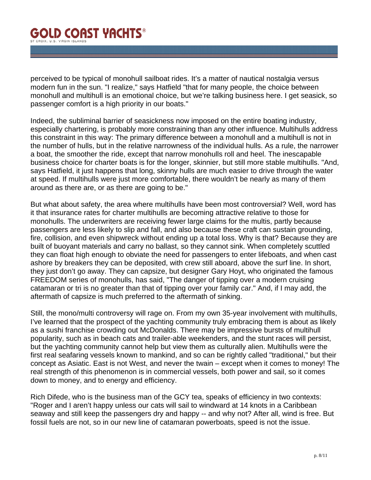perceived to be typical of monohull sailboat rides. It's a matter of nautical nostalgia versus modern fun in the sun. "I realize," says Hatfield "that for many people, the choice between monohull and multihull is an emotional choice, but we're talking business here. I get seasick, so passenger comfort is a high priority in our boats."

Indeed, the subliminal barrier of seasickness now imposed on the entire boating industry, especially chartering, is probably more constraining than any other influence. Multihulls address this constraint in this way: The primary difference between a monohull and a multihull is not in the number of hulls, but in the relative narrowness of the individual hulls. As a rule, the narrower a boat, the smoother the ride, except that narrow monohulls roll and heel. The inescapable business choice for charter boats is for the longer, skinnier, but still more stable multihulls. "And, says Hatfield, it just happens that long, skinny hulls are much easier to drive through the water at speed. If multihulls were just more comfortable, there wouldn't be nearly as many of them around as there are, or as there are going to be."

But what about safety, the area where multihulls have been most controversial? Well, word has it that insurance rates for charter multihulls are becoming attractive relative to those for monohulls. The underwriters are receiving fewer large claims for the multis, partly because passengers are less likely to slip and fall, and also because these craft can sustain grounding, fire, collision, and even shipwreck without ending up a total loss. Why is that? Because they are built of buoyant materials and carry no ballast, so they cannot sink. When completely scuttled they can float high enough to obviate the need for passengers to enter lifeboats, and when cast ashore by breakers they can be deposited, with crew still aboard, above the surf line. In short, they just don't go away. They can capsize, but designer Gary Hoyt, who originated the famous FREEDOM series of monohulls, has said, "The danger of tipping over a modern cruising catamaran or tri is no greater than that of tipping over your family car." And, if I may add, the aftermath of capsize is much preferred to the aftermath of sinking.

Still, the mono/multi controversy will rage on. From my own 35-year involvement with multihulls, I've learned that the prospect of the yachting community truly embracing them is about as likely as a sushi franchise crowding out McDonalds. There may be impressive bursts of multihull popularity, such as in beach cats and trailer-able weekenders, and the stunt races will persist, but the yachting community cannot help but view them as culturally alien. Multihulls were the first real seafaring vessels known to mankind, and so can be rightly called "traditional," but their concept as Asiatic. East is not West, and never the twain – except when it comes to money! The real strength of this phenomenon is in commercial vessels, both power and sail, so it comes down to money, and to energy and efficiency.

Rich Difede, who is the business man of the GCY tea, speaks of efficiency in two contexts: "Roger and I aren't happy unless our cats will sail to windward at 14 knots in a Caribbean seaway and still keep the passengers dry and happy -- and why not? After all, wind is free. But fossil fuels are not, so in our new line of catamaran powerboats, speed is not the issue.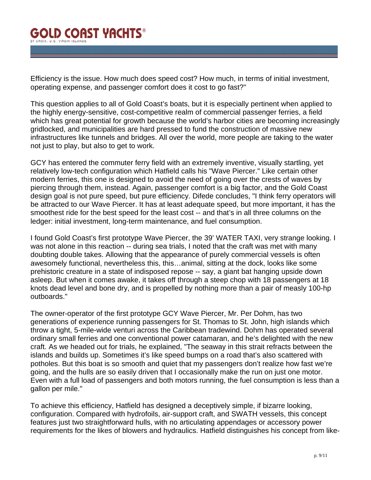Efficiency is the issue. How much does speed cost? How much, in terms of initial investment, operating expense, and passenger comfort does it cost to go fast?"

This question applies to all of Gold Coast's boats, but it is especially pertinent when applied to the highly energy-sensitive, cost-competitive realm of commercial passenger ferries, a field which has great potential for growth because the world's harbor cities are becoming increasingly gridlocked, and municipalities are hard pressed to fund the construction of massive new infrastructures like tunnels and bridges. All over the world, more people are taking to the water not just to play, but also to get to work.

GCY has entered the commuter ferry field with an extremely inventive, visually startling, yet relatively low-tech configuration which Hatfield calls his "Wave Piercer." Like certain other modern ferries, this one is designed to avoid the need of going over the crests of waves by piercing through them, instead. Again, passenger comfort is a big factor, and the Gold Coast design goal is not pure speed, but pure efficiency. Difede concludes, "I think ferry operators will be attracted to our Wave Piercer. It has at least adequate speed, but more important, it has the smoothest ride for the best speed for the least cost -- and that's in all three columns on the ledger: initial investment, long-term maintenance, and fuel consumption.

I found Gold Coast's first prototype Wave Piercer, the 39' WATER TAXI, very strange looking. I was not alone in this reaction -- during sea trials, I noted that the craft was met with many doubting double takes. Allowing that the appearance of purely commercial vessels is often awesomely functional, nevertheless this, this…animal, sitting at the dock, looks like some prehistoric creature in a state of indisposed repose -- say, a giant bat hanging upside down asleep. But when it comes awake, it takes off through a steep chop with 18 passengers at 18 knots dead level and bone dry, and is propelled by nothing more than a pair of measly 100-hp outboards."

The owner-operator of the first prototype GCY Wave Piercer, Mr. Per Dohm, has two generations of experience running passengers for St. Thomas to St. John, high islands which throw a tight, 5-mile-wide venturi across the Caribbean tradewind. Dohm has operated several ordinary small ferries and one conventional power catamaran, and he's delighted with the new craft. As we headed out for trials, he explained, "The seaway in this strait refracts between the islands and builds up. Sometimes it's like speed bumps on a road that's also scattered with potholes. But this boat is so smooth and quiet that my passengers don't realize how fast we're going, and the hulls are so easily driven that I occasionally make the run on just one motor. Even with a full load of passengers and both motors running, the fuel consumption is less than a gallon per mile."

To achieve this efficiency, Hatfield has designed a deceptively simple, if bizarre looking, configuration. Compared with hydrofoils, air-support craft, and SWATH vessels, this concept features just two straightforward hulls, with no articulating appendages or accessory power requirements for the likes of blowers and hydraulics. Hatfield distinguishes his concept from like-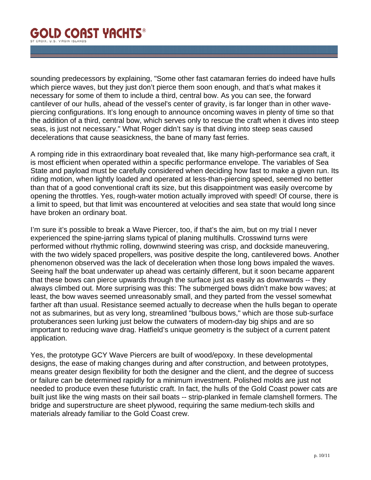sounding predecessors by explaining, "Some other fast catamaran ferries do indeed have hulls which pierce waves, but they just don't pierce them soon enough, and that's what makes it necessary for some of them to include a third, central bow. As you can see, the forward cantilever of our hulls, ahead of the vessel's center of gravity, is far longer than in other wavepiercing configurations. It's long enough to announce oncoming waves in plenty of time so that the addition of a third, central bow, which serves only to rescue the craft when it dives into steep seas, is just not necessary." What Roger didn't say is that diving into steep seas caused decelerations that cause seasickness, the bane of many fast ferries.

A romping ride in this extraordinary boat revealed that, like many high-performance sea craft, it is most efficient when operated within a specific performance envelope. The variables of Sea State and payload must be carefully considered when deciding how fast to make a given run. Its riding motion, when lightly loaded and operated at less-than-piercing speed, seemed no better than that of a good conventional craft its size, but this disappointment was easily overcome by opening the throttles. Yes, rough-water motion actually improved with speed! Of course, there is a limit to speed, but that limit was encountered at velocities and sea state that would long since have broken an ordinary boat.

I'm sure it's possible to break a Wave Piercer, too, if that's the aim, but on my trial I never experienced the spine-jarring slams typical of planing multihulls. Crosswind turns were performed without rhythmic rolling, downwind steering was crisp, and dockside maneuvering, with the two widely spaced propellers, was positive despite the long, cantilevered bows. Another phenomenon observed was the lack of deceleration when those long bows impaled the waves. Seeing half the boat underwater up ahead was certainly different, but it soon became apparent that these bows can pierce upwards through the surface just as easily as downwards -- they always climbed out. More surprising was this: The submerged bows didn't make bow waves; at least, the bow waves seemed unreasonably small, and they parted from the vessel somewhat farther aft than usual. Resistance seemed actually to decrease when the hulls began to operate not as submarines, but as very long, streamlined "bulbous bows," which are those sub-surface protuberances seen lurking just below the cutwaters of modern-day big ships and are so important to reducing wave drag. Hatfield's unique geometry is the subject of a current patent application.

Yes, the prototype GCY Wave Piercers are built of wood/epoxy. In these developmental designs, the ease of making changes during and after construction, and between prototypes, means greater design flexibility for both the designer and the client, and the degree of success or failure can be determined rapidly for a minimum investment. Polished molds are just not needed to produce even these futuristic craft. In fact, the hulls of the Gold Coast power cats are built just like the wing masts on their sail boats -- strip-planked in female clamshell formers. The bridge and superstructure are sheet plywood, requiring the same medium-tech skills and materials already familiar to the Gold Coast crew.